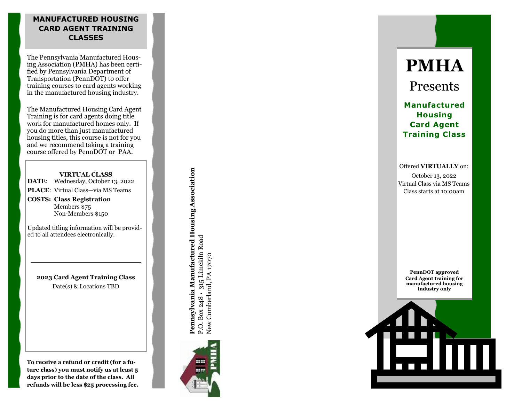## **MANUFACTURED HOUSING CARD AGENT TRAINING CLASSES**

The Pennsylvania Manufactured Housing Association (PMHA) has been certified by Pennsylvania Department of Transportation (PennDOT) to offer training courses to card agents working in the manufactured housing industry.

The Manufactured Housing Card Agent Training is for card agents doing title work for manufactured homes only. If you do more than just manufactured housing titles, this course is not for you and we recommend taking a training course offered by PennDOT or PAA.

#### **VIRTUAL CLASS**

**DATE** : Wednesday, October 13, 2022

PLACE: Virtual Class-via MS Teams

**COSTS: Class Registration** Members \$75 Non -Members \$150

Updated titling information will be provided to all attendees electronically.

**2023 Card Agent Training Class** Date(s) & Locations TBD

**To receive a refund or credit (for a future class) you must notify us at least 5 days prior to the date of the class. All refunds will be less \$25 processing fee.**

Pennsylvania Manufactured Housing Association **Pennsylvania Manufactured Housing Association** P.O. Box 248 • 315 Limekiln Road<br>New Cumberland, PA 17070 P.O. Box 248 • 315 Limekiln Road New Cumberland, PA 17070



**PMHA**

Presents

**Manufactured Housing Card Agent Training Class**

Offered **VIRTUALLY** on: October 13, 2022 Virtual Class via MS Teams Class starts at 10:00am

**PennDOT approved Card Agent training for manufactured housing industry only**